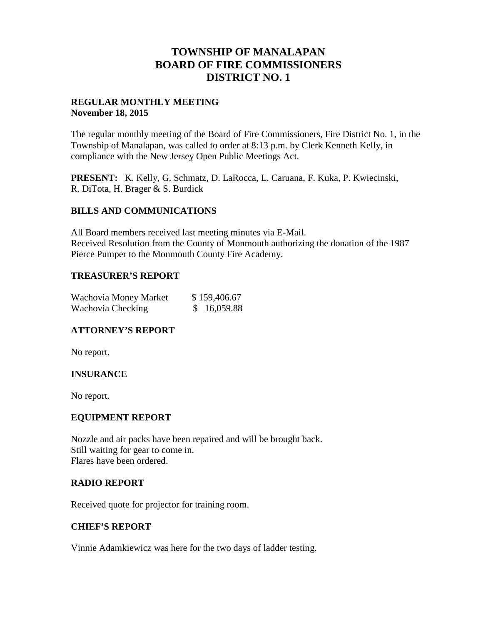## **TOWNSHIP OF MANALAPAN BOARD OF FIRE COMMISSIONERS DISTRICT NO. 1**

## **REGULAR MONTHLY MEETING November 18, 2015**

The regular monthly meeting of the Board of Fire Commissioners, Fire District No. 1, in the Township of Manalapan, was called to order at 8:13 p.m. by Clerk Kenneth Kelly, in compliance with the New Jersey Open Public Meetings Act.

**PRESENT:** K. Kelly, G. Schmatz, D. LaRocca, L. Caruana, F. Kuka, P. Kwiecinski, R. DiTota, H. Brager & S. Burdick

## **BILLS AND COMMUNICATIONS**

All Board members received last meeting minutes via E-Mail. Received Resolution from the County of Monmouth authorizing the donation of the 1987 Pierce Pumper to the Monmouth County Fire Academy.

## **TREASURER'S REPORT**

| Wachovia Money Market | \$159,406.67 |
|-----------------------|--------------|
| Wachovia Checking     | \$16,059.88  |

## **ATTORNEY'S REPORT**

No report.

## **INSURANCE**

No report.

### **EQUIPMENT REPORT**

Nozzle and air packs have been repaired and will be brought back. Still waiting for gear to come in. Flares have been ordered.

#### **RADIO REPORT**

Received quote for projector for training room.

## **CHIEF'S REPORT**

Vinnie Adamkiewicz was here for the two days of ladder testing.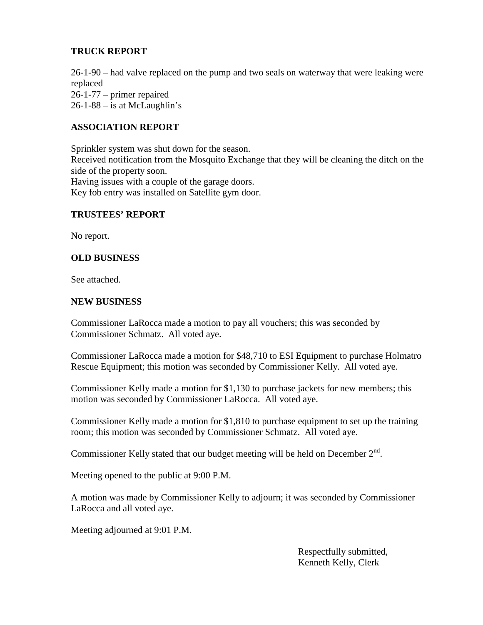## **TRUCK REPORT**

26-1-90 – had valve replaced on the pump and two seals on waterway that were leaking were replaced 26-1-77 – primer repaired  $26-1-88$  – is at McLaughlin's

## **ASSOCIATION REPORT**

Sprinkler system was shut down for the season. Received notification from the Mosquito Exchange that they will be cleaning the ditch on the side of the property soon. Having issues with a couple of the garage doors. Key fob entry was installed on Satellite gym door.

## **TRUSTEES' REPORT**

No report.

#### **OLD BUSINESS**

See attached.

#### **NEW BUSINESS**

Commissioner LaRocca made a motion to pay all vouchers; this was seconded by Commissioner Schmatz. All voted aye.

Commissioner LaRocca made a motion for \$48,710 to ESI Equipment to purchase Holmatro Rescue Equipment; this motion was seconded by Commissioner Kelly. All voted aye.

Commissioner Kelly made a motion for \$1,130 to purchase jackets for new members; this motion was seconded by Commissioner LaRocca. All voted aye.

Commissioner Kelly made a motion for \$1,810 to purchase equipment to set up the training room; this motion was seconded by Commissioner Schmatz. All voted aye.

Commissioner Kelly stated that our budget meeting will be held on December  $2^{nd}$ .

Meeting opened to the public at 9:00 P.M.

A motion was made by Commissioner Kelly to adjourn; it was seconded by Commissioner LaRocca and all voted aye.

Meeting adjourned at 9:01 P.M.

Respectfully submitted, Kenneth Kelly, Clerk